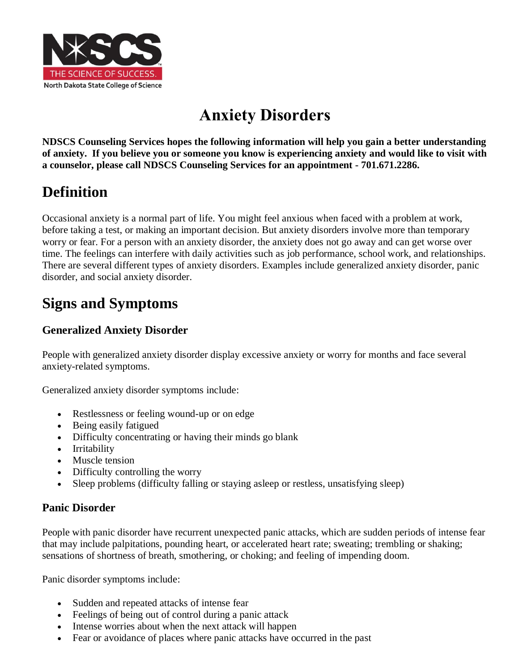

# **Anxiety Disorders**

**NDSCS Counseling Services hopes the following information will help you gain a better understanding of anxiety. If you believe you or someone you know is experiencing anxiety and would like to visit with a counselor, please call NDSCS Counseling Services for an appointment - 701.671.2286.** 

# **Definition**

Occasional anxiety is a normal part of life. You might feel anxious when faced with a problem at work, before taking a test, or making an important decision. But anxiety disorders involve more than temporary worry or fear. For a person with an anxiety disorder, the anxiety does not go away and can get worse over time. The feelings can interfere with daily activities such as job performance, school work, and relationships. There are several different types of anxiety disorders. Examples include generalized anxiety disorder, panic disorder, and social anxiety disorder.

# **Signs and Symptoms**

## **Generalized Anxiety Disorder**

People with generalized anxiety disorder display excessive anxiety or worry for months and face several anxiety-related symptoms.

Generalized anxiety disorder symptoms include:

- Restlessness or feeling wound-up or on edge
- Being easily fatigued
- Difficulty concentrating or having their minds go blank
- Irritability
- Muscle tension
- Difficulty controlling the worry
- Sleep problems (difficulty falling or staying asleep or restless, unsatisfying sleep)

## **Panic Disorder**

People with panic disorder have recurrent unexpected panic attacks, which are sudden periods of intense fear that may include palpitations, pounding heart, or accelerated heart rate; sweating; trembling or shaking; sensations of shortness of breath, smothering, or choking; and feeling of impending doom.

Panic disorder symptoms include:

- Sudden and repeated attacks of intense fear
- Feelings of being out of control during a panic attack
- Intense worries about when the next attack will happen
- Fear or avoidance of places where panic attacks have occurred in the past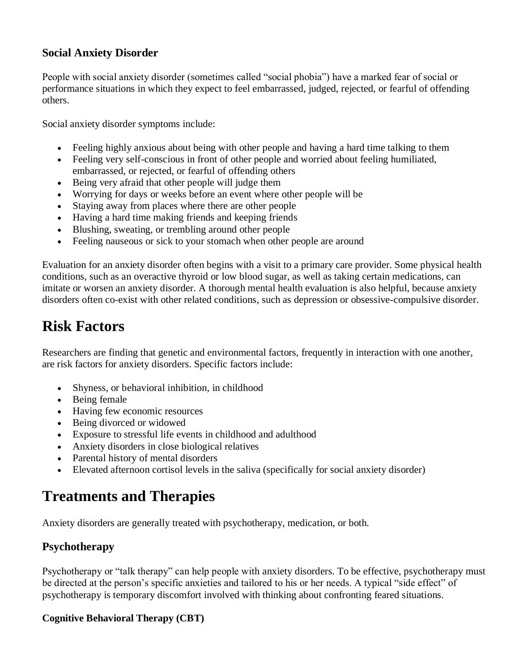## **Social Anxiety Disorder**

People with social anxiety disorder (sometimes called "social phobia") have a marked fear of social or performance situations in which they expect to feel embarrassed, judged, rejected, or fearful of offending others.

Social anxiety disorder symptoms include:

- Feeling highly anxious about being with other people and having a hard time talking to them
- Feeling very self-conscious in front of other people and worried about feeling humiliated,
- embarrassed, or rejected, or fearful of offending others
- Being very afraid that other people will judge them
- Worrying for days or weeks before an event where other people will be
- Staying away from places where there are other people
- Having a hard time making friends and keeping friends
- Blushing, sweating, or trembling around other people
- Feeling nauseous or sick to your stomach when other people are around

Evaluation for an anxiety disorder often begins with a visit to a primary care provider. Some physical health conditions, such as an overactive thyroid or low blood sugar, as well as taking certain medications, can imitate or worsen an anxiety disorder. A thorough mental health evaluation is also helpful, because anxiety disorders often co-exist with other related conditions, such as depression or obsessive-compulsive disorder.

## **Risk Factors**

Researchers are finding that genetic and environmental factors, frequently in interaction with one another, are risk factors for anxiety disorders. Specific factors include:

- Shyness, or behavioral inhibition, in childhood
- Being female
- Having few economic resources
- Being divorced or widowed
- Exposure to stressful life events in childhood and adulthood
- Anxiety disorders in close biological relatives
- Parental history of mental disorders
- Elevated afternoon cortisol levels in the saliva (specifically for social anxiety disorder)

## **Treatments and Therapies**

Anxiety disorders are generally treated with psychotherapy, medication, or both.

## **Psychotherapy**

Psychotherapy or "talk therapy" can help people with anxiety disorders. To be effective, psychotherapy must be directed at the person's specific anxieties and tailored to his or her needs. A typical "side effect" of psychotherapy is temporary discomfort involved with thinking about confronting feared situations.

#### **Cognitive Behavioral Therapy (CBT)**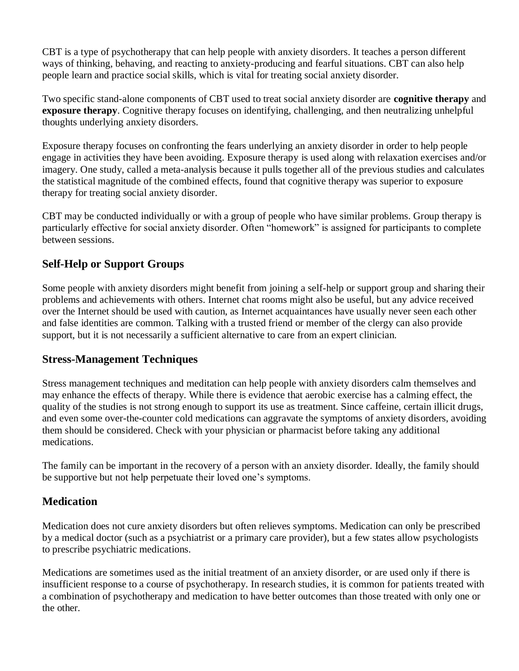CBT is a type of psychotherapy that can help people with anxiety disorders. It teaches a person different ways of thinking, behaving, and reacting to anxiety-producing and fearful situations. CBT can also help people learn and practice social skills, which is vital for treating social anxiety disorder.

Two specific stand-alone components of CBT used to treat social anxiety disorder are **cognitive therapy** and **exposure therapy**. Cognitive therapy focuses on identifying, challenging, and then neutralizing unhelpful thoughts underlying anxiety disorders.

Exposure therapy focuses on confronting the fears underlying an anxiety disorder in order to help people engage in activities they have been avoiding. Exposure therapy is used along with relaxation exercises and/or imagery. One study, called a meta-analysis because it pulls together all of the previous studies and calculates the statistical magnitude of the combined effects, found that cognitive therapy was superior to exposure therapy for treating social anxiety disorder.

CBT may be conducted individually or with a group of people who have similar problems. Group therapy is particularly effective for social anxiety disorder. Often "homework" is assigned for participants to complete between sessions.

## **Self-Help or Support Groups**

Some people with anxiety disorders might benefit from joining a self-help or support group and sharing their problems and achievements with others. Internet chat rooms might also be useful, but any advice received over the Internet should be used with caution, as Internet acquaintances have usually never seen each other and false identities are common. Talking with a trusted friend or member of the clergy can also provide support, but it is not necessarily a sufficient alternative to care from an expert clinician.

#### **Stress-Management Techniques**

Stress management techniques and meditation can help people with anxiety disorders calm themselves and may enhance the effects of therapy. While there is evidence that aerobic exercise has a calming effect, the quality of the studies is not strong enough to support its use as treatment. Since caffeine, certain illicit drugs, and even some over-the-counter cold medications can aggravate the symptoms of anxiety disorders, avoiding them should be considered. Check with your physician or pharmacist before taking any additional medications.

The family can be important in the recovery of a person with an anxiety disorder. Ideally, the family should be supportive but not help perpetuate their loved one's symptoms.

#### **Medication**

Medication does not cure anxiety disorders but often relieves symptoms. Medication can only be prescribed by a medical doctor (such as a psychiatrist or a primary care provider), but a few states allow psychologists to prescribe psychiatric medications.

Medications are sometimes used as the initial treatment of an anxiety disorder, or are used only if there is insufficient response to a course of psychotherapy. In research studies, it is common for patients treated with a combination of psychotherapy and medication to have better outcomes than those treated with only one or the other.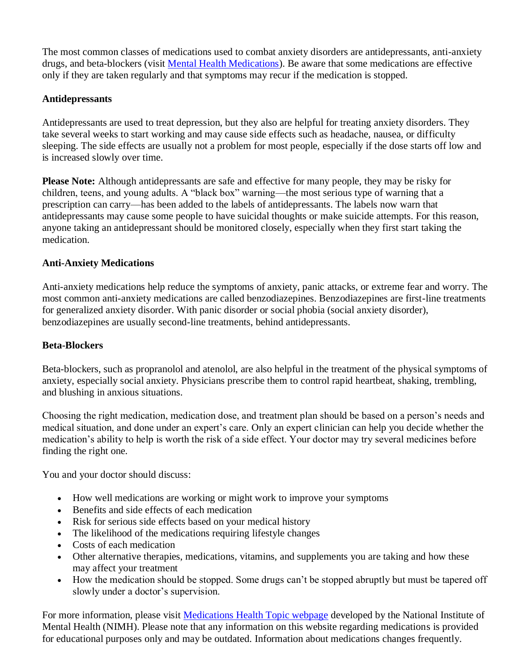The most common classes of medications used to combat anxiety disorders are antidepressants, anti-anxiety drugs, and beta-blockers (visit [Mental Health Medications\)](https://www.nimh.nih.gov/health/topics/mental-health-medications/index.shtml#part_149857). Be aware that some medications are effective only if they are taken regularly and that symptoms may recur if the medication is stopped.

#### **Antidepressants**

Antidepressants are used to treat depression, but they also are helpful for treating anxiety disorders. They take several weeks to start working and may cause side effects such as headache, nausea, or difficulty sleeping. The side effects are usually not a problem for most people, especially if the dose starts off low and is increased slowly over time.

**Please Note:** Although antidepressants are safe and effective for many people, they may be risky for children, teens, and young adults. A "black box" warning—the most serious type of warning that a prescription can carry—has been added to the labels of antidepressants. The labels now warn that antidepressants may cause some people to have suicidal thoughts or make suicide attempts. For this reason, anyone taking an antidepressant should be monitored closely, especially when they first start taking the medication.

#### **Anti-Anxiety Medications**

Anti-anxiety medications help reduce the symptoms of anxiety, panic attacks, or extreme fear and worry. The most common anti-anxiety medications are called benzodiazepines. Benzodiazepines are first-line treatments for generalized anxiety disorder. With panic disorder or social phobia (social anxiety disorder), benzodiazepines are usually second-line treatments, behind antidepressants.

#### **Beta-Blockers**

Beta-blockers, such as propranolol and atenolol, are also helpful in the treatment of the physical symptoms of anxiety, especially social anxiety. Physicians prescribe them to control rapid heartbeat, shaking, trembling, and blushing in anxious situations.

Choosing the right medication, medication dose, and treatment plan should be based on a person's needs and medical situation, and done under an expert's care. Only an expert clinician can help you decide whether the medication's ability to help is worth the risk of a side effect. Your doctor may try several medicines before finding the right one.

You and your doctor should discuss:

- How well medications are working or might work to improve your symptoms
- Benefits and side effects of each medication
- Risk for serious side effects based on your medical history
- The likelihood of the medications requiring lifestyle changes
- Costs of each medication
- Other alternative therapies, medications, vitamins, and supplements you are taking and how these may affect your treatment
- How the medication should be stopped. Some drugs can't be stopped abruptly but must be tapered off slowly under a doctor's supervision.

For more information, please visit [Medications Health Topic webpage](https://www.nimh.nih.gov/health/topics/mental-health-medications/index.shtml) developed by the National Institute of Mental Health (NIMH). Please note that any information on this website regarding medications is provided for educational purposes only and may be outdated. Information about medications changes frequently.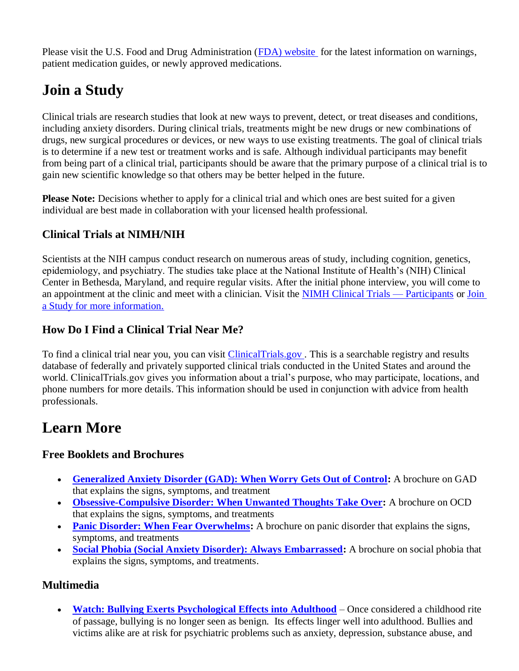Please visit the U.S. Food and Drug Administration [\(FDA\) website](http://www.fda.gov/) for the latest information on warnings, patient medication guides, or newly approved medications.

# **Join a Study**

Clinical trials are research studies that look at new ways to prevent, detect, or treat diseases and conditions, including anxiety disorders. During clinical trials, treatments might be new drugs or new combinations of drugs, new surgical procedures or devices, or new ways to use existing treatments. The goal of clinical trials is to determine if a new test or treatment works and is safe. Although individual participants may benefit from being part of a clinical trial, participants should be aware that the primary purpose of a clinical trial is to gain new scientific knowledge so that others may be better helped in the future.

**Please Note:** Decisions whether to apply for a clinical trial and which ones are best suited for a given individual are best made in collaboration with your licensed health professional.

## **Clinical Trials at NIMH/NIH**

Scientists at the NIH campus conduct research on numerous areas of study, including cognition, genetics, epidemiology, and psychiatry. The studies take place at the National Institute of Health's (NIH) Clinical Center in Bethesda, Maryland, and require regular visits. After the initial phone interview, you will come to an appointment at the clinic and meet with a clinician. Visit the [NIMH Clinical Trials —](https://www.nimh.nih.gov/health/trials/index.shtml) Participants or [Join](http://www.nimh.nih.gov/labs-at-nimh/join-a-study/index.shtml)  [a Study](http://www.nimh.nih.gov/labs-at-nimh/join-a-study/index.shtml) [for more information.](https://www.nimh.nih.gov/labs-at-nimh/join-a-study/clinical-trials-recruiting-healthy-volunteers.shtml)

## **How Do I Find a Clinical Trial Near Me?**

To find a clinical trial near you, you can visit [ClinicalTrials.gov](http://www.clinicaltrials.gov/) . This is a searchable registry and results database of federally and privately supported clinical trials conducted in the United States and around the world. ClinicalTrials.gov gives you information about a trial's purpose, who may participate, locations, and phone numbers for more details. This information should be used in conjunction with advice from health professionals.

## **Learn More**

#### **Free Booklets and Brochures**

- **[Generalized Anxiety Disorder \(GAD\): When Worry Gets Out of Control:](https://www.nimh.nih.gov/health/publications/generalized-anxiety-disorder-gad/index.shtml)** A brochure on GAD that explains the signs, symptoms, and treatment
- **[Obsessive-Compulsive Disorder: When Unwanted Thoughts Take Over:](https://www.nimh.nih.gov/health/publications/obsessive-compulsive-disorder-when-unwanted-thoughts-take-over/index.shtml)** A brochure on OCD that explains the signs, symptoms, and treatments
- **[Panic Disorder: When Fear Overwhelms:](https://www.nimh.nih.gov/health/publications/panic-disorder-listing.shtml)** A brochure on panic disorder that explains the signs, symptoms, and treatments
- **[Social Phobia \(Social Anxiety Disorder\): Always Embarrassed:](https://www.nimh.nih.gov/health/publications/social-phobia-social-anxiety-disorder-always-embarrassed/index.shtml)** A brochure on social phobia that explains the signs, symptoms, and treatments.

## **Multimedia**

• **[Watch: Bullying Exerts Psychological Effects into Adulthood](https://www.nimh.nih.gov/news/science-news/2013/bullying-exerts-psychiatric-effects-into-adulthood.shtml)** – Once considered a childhood rite of passage, bullying is no longer seen as benign. Its effects linger well into adulthood. Bullies and victims alike are at risk for psychiatric problems such as anxiety, depression, substance abuse, and